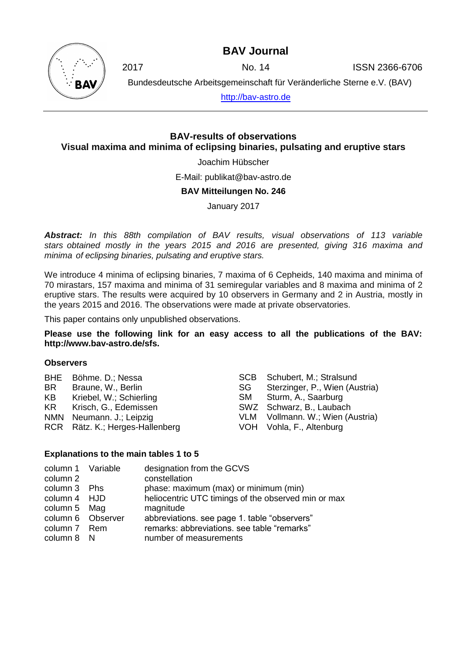## **BAV Journal**



2017 No. 14 ISSN 2366-6706

Bundesdeutsche Arbeitsgemeinschaft für Veränderliche Sterne e.V. (BAV)

[http://bav-astro.de](http://bav-astro.de/)

### **BAV-results of observations Visual maxima and minima of eclipsing binaries, pulsating and eruptive stars**

Joachim Hübscher

E-Mail: publikat@bav-astro.de

#### **BAV Mitteilungen No. 246**

January 2017

*Abstract: In this 88th compilation of BAV results, visual observations of 113 variable stars obtained mostly in the years 2015 and 2016 are presented, giving 316 maxima and minima of eclipsing binaries, pulsating and eruptive stars.*

We introduce 4 minima of eclipsing binaries, 7 maxima of 6 Cepheids, 140 maxima and minima of 70 mirastars, 157 maxima and minima of 31 semiregular variables and 8 maxima and minima of 2 eruptive stars. The results were acquired by 10 observers in Germany and 2 in Austria, mostly in the years 2015 and 2016. The observations were made at private observatories.

This paper contains only unpublished observations.

**Please use the following link for an easy access to all the publications of the BAV: http://www.bav-astro.de/sfs.**

#### **Observers**

|     | BHE Böhme. D.; Nessa            |    | SCB Schubert, M.; Stralsund      |
|-----|---------------------------------|----|----------------------------------|
| BR. | Braune, W., Berlin              | SG | Sterzinger, P., Wien (Austria)   |
| KB  | Kriebel, W.; Schierling         |    | SM Sturm, A., Saarburg           |
|     | KR Krisch, G., Edemissen        |    | SWZ Schwarz, B., Laubach         |
|     | NMN Neumann. J.; Leipzig        |    | VLM Vollmann. W.; Wien (Austria) |
|     | RCR Rätz. K.; Herges-Hallenberg |    | VOH Vohla, F., Altenburg         |

#### **Explanations to the main tables 1 to 5**

| column 1 Variable | designation from the GCVS                           |
|-------------------|-----------------------------------------------------|
| column 2          | constellation                                       |
| column 3 Phs      | phase: maximum (max) or minimum (min)               |
| column 4 HJD      | heliocentric UTC timings of the observed min or max |
| column 5 Mag      | magnitude                                           |
| column 6 Observer | abbreviations. see page 1. table "observers"        |
| column 7 Rem      | remarks: abbreviations. see table "remarks"         |
| column 8 N        | number of measurements                              |
|                   |                                                     |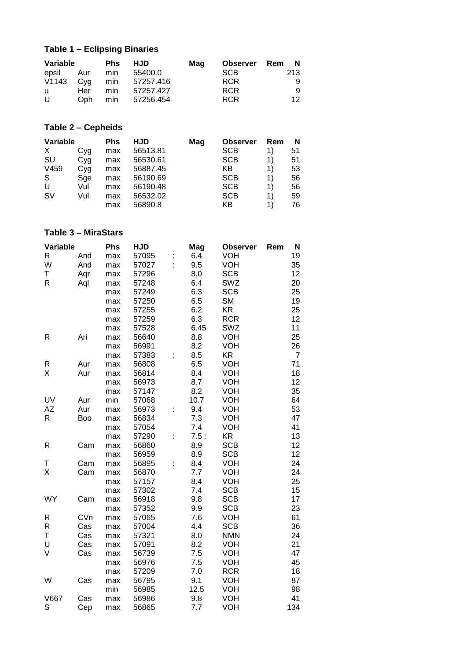# **Table 1 – Eclipsing Binaries**

| Variable    |      | <b>Phs</b> | <b>HJD</b>    | Mag | <b>Observer</b> Rem N |     |
|-------------|------|------------|---------------|-----|-----------------------|-----|
| epsil Aur   |      | min        | 55400.0       |     | <b>SCB</b>            | 213 |
| $V1143$ Cyg |      |            | min 57257.416 |     | <b>RCR</b>            | 9   |
| <b>u</b>    | Her  | min        | 57257.427     |     | <b>RCR</b>            | 9   |
| U           | Oph. | min        | 57256.454     |     | <b>RCR</b>            | 12. |

## **Table 2 – Cepheids**

| Variable  |     | <b>Phs</b> | HJD      | Mag | <b>Observer</b> | Rem | N  |
|-----------|-----|------------|----------|-----|-----------------|-----|----|
| X         | Cyg | max        | 56513.81 |     | <b>SCB</b>      | 1)  | 51 |
| <b>SU</b> | Cyg | max        | 56530.61 |     | <b>SCB</b>      | 1)  | 51 |
| V459      | Cyg | max        | 56887.45 |     | ΚB              | 1)  | 53 |
| S         | Sge | max        | 56190.69 |     | <b>SCB</b>      | 1)  | 56 |
| U         | Vul | max        | 56190.48 |     | <b>SCB</b>      | 1)  | 56 |
| <b>SV</b> | Vul | max        | 56532.02 |     | <b>SCB</b>      | 1)  | 59 |
|           |     | max        | 56890.8  |     | ΚB              | 1)  | 76 |

### **Table 3 – MiraStars**

| Variable    |     | Phs | <b>HJD</b> |    | Mag  | <b>Observer</b> | Rem | N              |
|-------------|-----|-----|------------|----|------|-----------------|-----|----------------|
| $\mathsf R$ | And | max | 57095      |    | 6.4  | <b>VOH</b>      |     | 19             |
| W           | And | max | 57027      | t, | 9.5  | <b>VOH</b>      |     | 35             |
| Τ           | Aqr | max | 57296      |    | 8.0  | <b>SCB</b>      |     | 12             |
| R           | Aql | max | 57248      |    | 6.4  | SWZ             |     | 20             |
|             |     | max | 57249      |    | 6.3  | <b>SCB</b>      |     | 25             |
|             |     | max | 57250      |    | 6.5  | <b>SM</b>       |     | 19             |
|             |     | max | 57255      |    | 6.2  | <b>KR</b>       |     | 25             |
|             |     | max | 57259      |    | 6.3  | <b>RCR</b>      |     | 12             |
|             |     | max | 57528      |    | 6.45 | SWZ             |     | 11             |
| R           | Ari | max | 56640      |    | 8.8  | <b>VOH</b>      |     | 25             |
|             |     | max | 56991      |    | 8.2  | <b>VOH</b>      |     | 26             |
|             |     | max | 57383      |    | 8.5  | <b>KR</b>       |     | $\overline{7}$ |
| R           | Aur | max | 56808      |    | 6.5  | <b>VOH</b>      |     | 71             |
| Χ           | Aur | max | 56814      |    | 8.4  | <b>VOH</b>      |     | 18             |
|             |     | max | 56973      |    | 8.7  | <b>VOH</b>      |     | 12             |
|             |     | max | 57147      |    | 8.2  | <b>VOH</b>      |     | 35             |
| UV          | Aur | min | 57068      |    | 10.7 | <b>VOH</b>      |     | 64             |
| AZ          | Aur | max | 56973      | t  | 9.4  | <b>VOH</b>      |     | 53             |
| R           | Boo | max | 56834      |    | 7.3  | <b>VOH</b>      |     | 47             |
|             |     | max | 57054      |    | 7.4  | <b>VOH</b>      |     | 41             |
|             |     | max | 57290      | t  | 7.5: | <b>KR</b>       |     | 13             |
| R           | Cam | max | 56860      |    | 8.9  | <b>SCB</b>      |     | 12             |
|             |     | max | 56959      |    | 8.9  | <b>SCB</b>      |     | 12             |
| Τ           | Cam | max | 56895      |    | 8.4  | <b>VOH</b>      |     | 24             |
| X           | Cam | max | 56870      |    | 7.7  | <b>VOH</b>      |     | 24             |
|             |     | max | 57157      |    | 8.4  | <b>VOH</b>      |     | 25             |
|             |     | max | 57302      |    | 7.4  | <b>SCB</b>      |     | 15             |
| <b>WY</b>   | Cam | max | 56918      |    | 9.8  | <b>SCB</b>      |     | 17             |
|             |     | max | 57352      |    | 9.9  | <b>SCB</b>      |     | 23             |
| R           | CVn | max | 57065      |    | 7.6  | <b>VOH</b>      |     | 61             |
| $\mathsf R$ | Cas | max | 57004      |    | 4.4  | <b>SCB</b>      |     | 36             |
| T           | Cas | max | 57321      |    | 8.0  | <b>NMN</b>      |     | 24             |
| U           | Cas | max | 57091      |    | 8.2  | <b>VOH</b>      |     | 21             |
| V           | Cas | max | 56739      |    | 7.5  | <b>VOH</b>      |     | 47             |
|             |     | max | 56976      |    | 7.5  | <b>VOH</b>      |     | 45             |
|             |     | max | 57209      |    | 7.0  | <b>RCR</b>      |     | 18             |
| W           | Cas | max | 56795      |    | 9.1  | <b>VOH</b>      |     | 87             |
|             |     | min | 56985      |    | 12.5 | <b>VOH</b>      |     | 98             |
| <b>V667</b> | Cas | max | 56986      |    | 9.8  | <b>VOH</b>      |     | 41             |
| S           | Cep | max | 56865      |    | 7.7  | VOH             |     | 134            |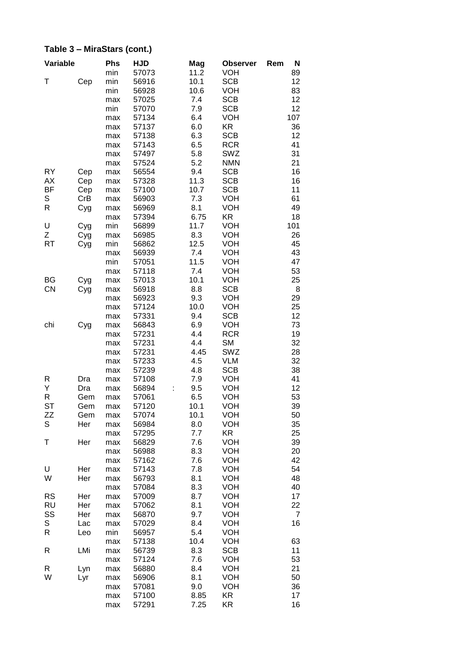| Variable  |     | <b>Phs</b> | <b>HJD</b> | Mag  | <b>Observer</b> | Rem<br>N |
|-----------|-----|------------|------------|------|-----------------|----------|
|           |     | min        | 57073      | 11.2 | <b>VOH</b>      | 89       |
| т         | Cep | min        | 56916      | 10.1 | <b>SCB</b>      | 12       |
|           |     | min        | 56928      | 10.6 | <b>VOH</b>      | 83       |
|           |     | max        | 57025      | 7.4  | <b>SCB</b>      | 12       |
|           |     | min        | 57070      | 7.9  | <b>SCB</b>      | 12       |
|           |     | max        | 57134      | 6.4  | <b>VOH</b>      | 107      |
|           |     | max        | 57137      | 6.0  | <b>KR</b>       | 36       |
|           |     |            | 57138      | 6.3  | <b>SCB</b>      | 12       |
|           |     | max        |            |      |                 |          |
|           |     | max        | 57143      | 6.5  | <b>RCR</b>      | 41       |
|           |     | max        | 57497      | 5.8  | SWZ             | 31       |
|           |     | max        | 57524      | 5.2  | <b>NMN</b>      | 21       |
| <b>RY</b> | Cep | max        | 56554      | 9.4  | <b>SCB</b>      | 16       |
| <b>AX</b> | Cep | max        | 57328      | 11.3 | <b>SCB</b>      | 16       |
| <b>BF</b> | Cep | max        | 57100      | 10.7 | <b>SCB</b>      | 11       |
| S         | CrB | max        | 56903      | 7.3  | <b>VOH</b>      | 61       |
| R         | Cyg | max        | 56969      | 8.1  | <b>VOH</b>      | 49       |
|           |     | max        | 57394      | 6.75 | <b>KR</b>       | 18       |
| U         | Cyg | min        | 56899      | 11.7 | <b>VOH</b>      | 101      |
| Ζ         |     | max        | 56985      | 8.3  | <b>VOH</b>      | 26       |
|           | Cyg |            |            |      |                 | 45       |
| RT        | Cyg | min        | 56862      | 12.5 | <b>VOH</b>      |          |
|           |     | max        | 56939      | 7.4  | <b>VOH</b>      | 43       |
|           |     | min        | 57051      | 11.5 | <b>VOH</b>      | 47       |
|           |     | max        | 57118      | 7.4  | <b>VOH</b>      | 53       |
| BG        | Cyg | max        | 57013      | 10.1 | <b>VOH</b>      | 25       |
| <b>CN</b> | Cyg | max        | 56918      | 8.8  | <b>SCB</b>      | 8        |
|           |     | max        | 56923      | 9.3  | <b>VOH</b>      | 29       |
|           |     | max        | 57124      | 10.0 | <b>VOH</b>      | 25       |
|           |     | max        | 57331      | 9.4  | <b>SCB</b>      | 12       |
| chi       | Cyg | max        | 56843      | 6.9  | <b>VOH</b>      | 73       |
|           |     | max        | 57231      | 4.4  | <b>RCR</b>      | 19       |
|           |     | max        | 57231      | 4.4  | <b>SM</b>       | 32       |
|           |     | max        | 57231      | 4.45 | SWZ             | 28       |
|           |     |            |            |      |                 |          |
|           |     | max        | 57233      | 4.5  | <b>VLM</b>      | 32       |
|           |     | max        | 57239      | 4.8  | <b>SCB</b>      | 38       |
| R         | Dra | max        | 57108      | 7.9  | <b>VOH</b>      | 41       |
| Υ         | Dra | max        | 56894      | 9.5  | <b>VOH</b>      | 12       |
| R         | Gem | max        | 57061      | 6.5  | <b>VOH</b>      | 53       |
| <b>ST</b> | Gem | max        | 57120      | 10.1 | <b>VOH</b>      | 39       |
| ΖZ        | Gem | max        | 57074      | 10.1 | VOH             | 50       |
| S         | Her | max        | 56984      | 8.0  | <b>VOH</b>      | 35       |
|           |     | max        | 57295      | 7.7  | KR              | 25       |
| Τ         | Her | max        | 56829      | 7.6  | <b>VOH</b>      | 39       |
|           |     | max        | 56988      | 8.3  | <b>VOH</b>      | 20       |
|           |     | max        | 57162      | 7.6  | <b>VOH</b>      | 42       |
| U         | Her | max        | 57143      | 7.8  | <b>VOH</b>      | 54       |
| W         | Her |            | 56793      | 8.1  | <b>VOH</b>      | 48       |
|           |     | max        |            |      |                 |          |
|           |     | max        | 57084      | 8.3  | <b>VOH</b>      | 40       |
| <b>RS</b> | Her | max        | 57009      | 8.7  | <b>VOH</b>      | 17       |
| <b>RU</b> | Her | max        | 57062      | 8.1  | VOH             | 22       |
| SS        | Her | max        | 56870      | 9.7  | <b>VOH</b>      | 7        |
| S         | Lac | max        | 57029      | 8.4  | <b>VOH</b>      | 16       |
| R         | Leo | min        | 56957      | 5.4  | <b>VOH</b>      |          |
|           |     | max        | 57138      | 10.4 | <b>VOH</b>      | 63       |
| R         | LMi | max        | 56739      | 8.3  | <b>SCB</b>      | 11       |
|           |     | max        | 57124      | 7.6  | <b>VOH</b>      | 53       |
| R         | Lyn | max        | 56880      | 8.4  | <b>VOH</b>      | 21       |
| W         | Lyr | max        | 56906      | 8.1  | <b>VOH</b>      | 50       |
|           |     | max        | 57081      | 9.0  | <b>VOH</b>      | 36       |
|           |     | max        | 57100      | 8.85 | KR              | 17       |
|           |     | max        | 57291      | 7.25 | KR              | 16       |
|           |     |            |            |      |                 |          |

## **Table 3 – MiraStars (cont.)**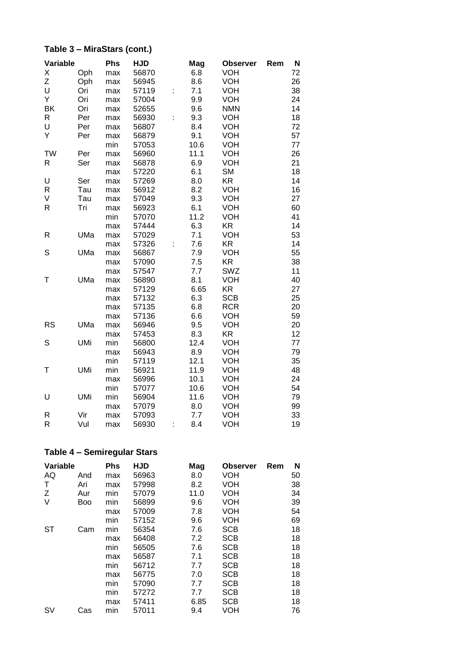## **Table 3 – MiraStars (cont.)**

| Variable     |            | <b>Phs</b> | <b>HJD</b> |   | Mag  | <b>Observer</b> | Rem | N  |
|--------------|------------|------------|------------|---|------|-----------------|-----|----|
| Χ            | Oph        | max        | 56870      |   | 6.8  | <b>VOH</b>      |     | 72 |
| Z            | Oph        | max        | 56945      |   | 8.6  | VOH             |     | 26 |
| U            | Ori        | max        | 57119      | t | 7.1  | <b>VOH</b>      |     | 38 |
| Υ            | Ori        | max        | 57004      |   | 9.9  | <b>VOH</b>      |     | 24 |
| BK           | Ori        | max        | 52655      |   | 9.6  | <b>NMN</b>      |     | 14 |
| R            | Per        | max        | 56930      | t | 9.3  | VOH             |     | 18 |
| U            | Per        | max        | 56807      |   | 8.4  | <b>VOH</b>      |     | 72 |
| Υ            | Per        | max        | 56879      |   | 9.1  | VOH             |     | 57 |
|              |            | min        | 57053      |   | 10.6 | <b>VOH</b>      |     | 77 |
| <b>TW</b>    | Per        | max        | 56960      |   | 11.1 | <b>VOH</b>      |     | 26 |
| $\mathsf{R}$ | Ser        | max        | 56878      |   | 6.9  | <b>VOH</b>      |     | 21 |
|              |            | max        | 57220      |   | 6.1  | <b>SM</b>       |     | 18 |
| U            | Ser        | max        | 57269      |   | 8.0  | <b>KR</b>       |     | 14 |
| $\mathsf{R}$ | Tau        | max        | 56912      |   | 8.2  | <b>VOH</b>      |     | 16 |
| V            | Tau        | max        | 57049      |   | 9.3  | <b>VOH</b>      |     | 27 |
| $\mathsf R$  | Tri        | max        | 56923      |   | 6.1  | <b>VOH</b>      |     | 60 |
|              |            | min        | 57070      |   | 11.2 | <b>VOH</b>      |     | 41 |
|              |            | max        | 57444      |   | 6.3  | KR              |     | 14 |
| R            | UMa        | max        | 57029      |   | 7.1  | <b>VOH</b>      |     | 53 |
|              |            | max        | 57326      |   | 7.6  | <b>KR</b>       |     | 14 |
| S            | UMa        | max        | 56867      |   | 7.9  | <b>VOH</b>      |     | 55 |
|              |            | max        | 57090      |   | 7.5  | <b>KR</b>       |     | 38 |
|              |            | max        | 57547      |   | 7.7  | <b>SWZ</b>      |     | 11 |
| Τ            | UMa        | max        | 56890      |   | 8.1  | <b>VOH</b>      |     | 40 |
|              |            | max        | 57129      |   | 6.65 | <b>KR</b>       |     | 27 |
|              |            | max        | 57132      |   | 6.3  | <b>SCB</b>      |     | 25 |
|              |            | max        | 57135      |   | 6.8  | <b>RCR</b>      |     | 20 |
|              |            | max        | 57136      |   | 6.6  | <b>VOH</b>      |     | 59 |
| <b>RS</b>    | UMa        | max        | 56946      |   | 9.5  | <b>VOH</b>      |     | 20 |
|              |            | max        | 57453      |   | 8.3  | KR              |     | 12 |
| S            | <b>UMi</b> | min        | 56800      |   | 12.4 | <b>VOH</b>      |     | 77 |
|              |            | max        | 56943      |   | 8.9  | <b>VOH</b>      |     | 79 |
|              |            | min        | 57119      |   | 12.1 | <b>VOH</b>      |     | 35 |
| Τ            | <b>UMi</b> | min        | 56921      |   | 11.9 | <b>VOH</b>      |     | 48 |
|              |            | max        | 56996      |   | 10.1 | <b>VOH</b>      |     | 24 |
|              |            | min        | 57077      |   | 10.6 | <b>VOH</b>      |     | 54 |
| U            | <b>UMi</b> | min        | 56904      |   | 11.6 | <b>VOH</b>      |     | 79 |
|              |            | max        | 57079      |   | 8.0  | <b>VOH</b>      |     | 99 |
| R            | Vir        | max        | 57093      |   | 7.7  | <b>VOH</b>      |     | 33 |
| R            | Vul        | max        | 56930      |   | 8.4  | VOH             |     | 19 |

## **Table 4 – Semiregular Stars**

| Variable  |            | <b>Phs</b> | <b>HJD</b> | Mag  | <b>Observer</b> | Rem | N  |
|-----------|------------|------------|------------|------|-----------------|-----|----|
| AQ        | And        | max        | 56963      | 8.0  | VOH             |     | 50 |
| Τ         | Ari        | max        | 57998      | 8.2  | VOH             |     | 38 |
| Z         | Aur        | min        | 57079      | 11.0 | VOH             |     | 34 |
| V         | <b>Boo</b> | min        | 56899      | 9.6  | VOH             |     | 39 |
|           |            | max        | 57009      | 7.8  | VOH             |     | 54 |
|           |            | min        | 57152      | 9.6  | VOH             |     | 69 |
| <b>ST</b> | Cam        | min        | 56354      | 7.6  | <b>SCB</b>      |     | 18 |
|           |            | max        | 56408      | 7.2  | <b>SCB</b>      |     | 18 |
|           |            | min        | 56505      | 7.6  | <b>SCB</b>      |     | 18 |
|           |            | max        | 56587      | 7.1  | <b>SCB</b>      |     | 18 |
|           |            | min        | 56712      | 7.7  | <b>SCB</b>      |     | 18 |
|           |            | max        | 56775      | 7.0  | <b>SCB</b>      |     | 18 |
|           |            | min        | 57090      | 7.7  | <b>SCB</b>      |     | 18 |
|           |            | min        | 57272      | 7.7  | <b>SCB</b>      |     | 18 |
|           |            | max        | 57411      | 6.85 | <b>SCB</b>      |     | 18 |
| S٧        | Cas        | min        | 57011      | 9.4  | VOH             |     | 76 |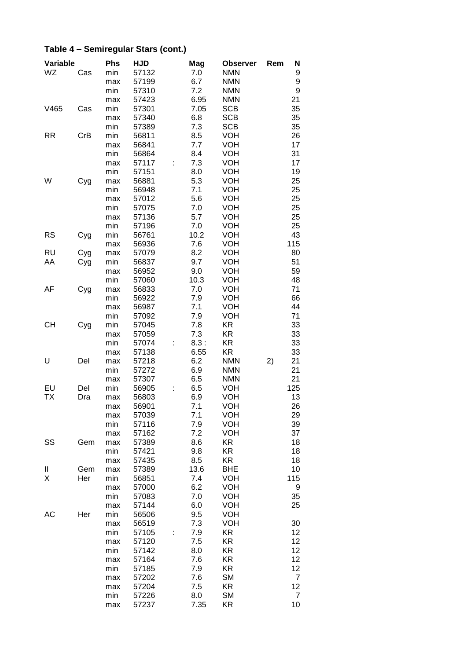# **Table 4 – Semiregular Stars (cont.)**

| Variable  |     | <b>Phs</b> | <b>HJD</b> | Mag  | <b>Observer</b> | Rem | N   |
|-----------|-----|------------|------------|------|-----------------|-----|-----|
| WZ        | Cas | min        | 57132      | 7.0  | <b>NMN</b>      |     | 9   |
|           |     | max        | 57199      | 6.7  | <b>NMN</b>      |     | 9   |
|           |     | min        | 57310      | 7.2  | <b>NMN</b>      |     | 9   |
|           |     | max        | 57423      | 6.95 | <b>NMN</b>      |     | 21  |
| V465      | Cas | min        | 57301      | 7.05 | <b>SCB</b>      |     | 35  |
|           |     | max        | 57340      | 6.8  | <b>SCB</b>      |     | 35  |
|           |     | min        | 57389      | 7.3  | <b>SCB</b>      |     | 35  |
| <b>RR</b> | CrB | min        | 56811      | 8.5  | <b>VOH</b>      |     | 26  |
|           |     | max        | 56841      | 7.7  | <b>VOH</b>      |     | 17  |
|           |     | min        | 56864      | 8.4  | <b>VOH</b>      |     | 31  |
|           |     | max        | 57117      | 7.3  | <b>VOH</b>      |     | 17  |
|           |     | min        | 57151      | 8.0  | <b>VOH</b>      |     | 19  |
| W         |     | max        | 56881      | 5.3  | <b>VOH</b>      |     | 25  |
|           | Cyg | min        | 56948      | 7.1  | <b>VOH</b>      |     | 25  |
|           |     | max        | 57012      | 5.6  | <b>VOH</b>      |     | 25  |
|           |     | min        | 57075      | 7.0  | <b>VOH</b>      |     | 25  |
|           |     | max        | 57136      | 5.7  | <b>VOH</b>      |     | 25  |
|           |     | min        |            | 7.0  | <b>VOH</b>      |     | 25  |
|           |     |            | 57196      |      |                 |     |     |
| <b>RS</b> | Cyg | min        | 56761      | 10.2 | <b>VOH</b>      |     | 43  |
|           |     | max        | 56936      | 7.6  | <b>VOH</b>      |     | 115 |
| <b>RU</b> | Cyg | max        | 57079      | 8.2  | <b>VOH</b>      |     | 80  |
| AA        | Cyg | min        | 56837      | 9.7  | <b>VOH</b>      |     | 51  |
|           |     | max        | 56952      | 9.0  | <b>VOH</b>      |     | 59  |
|           |     | min        | 57060      | 10.3 | <b>VOH</b>      |     | 48  |
| AF        | Cyg | max        | 56833      | 7.0  | <b>VOH</b>      |     | 71  |
|           |     | min        | 56922      | 7.9  | <b>VOH</b>      |     | 66  |
|           |     | max        | 56987      | 7.1  | <b>VOH</b>      |     | 44  |
|           |     | min        | 57092      | 7.9  | <b>VOH</b>      |     | 71  |
| <b>CH</b> | Cyg | min        | 57045      | 7.8  | <b>KR</b>       |     | 33  |
|           |     | max        | 57059      | 7.3  | <b>KR</b>       |     | 33  |
|           |     | min        | 57074      | 8.3: | <b>KR</b>       |     | 33  |
|           |     | max        | 57138      | 6.55 | KR              |     | 33  |
| U         | Del | max        | 57218      | 6.2  | <b>NMN</b>      | 2)  | 21  |
|           |     | min        | 57272      | 6.9  | <b>NMN</b>      |     | 21  |
|           |     | max        | 57307      | 6.5  | <b>NMN</b>      |     | 21  |
| EU        | Del | min        | 56905      | 6.5  | <b>VOH</b>      |     | 125 |
| ТX        | Dra | max        | 56803      | 6.9  | <b>VOH</b>      |     | 13  |
|           |     | max        | 56901      | 7.1  | <b>VOH</b>      |     | 26  |
|           |     | max        | 57039      | 7.1  | <b>VOH</b>      |     | 29  |
|           |     | min        | 57116      | 7.9  | <b>VOH</b>      |     | 39  |
|           |     | max        | 57162      | 7.2  | <b>VOH</b>      |     | 37  |
| SS        | Gem | max        | 57389      | 8.6  | KR              |     | 18  |
|           |     | min        | 57421      | 9.8  | KR              |     | 18  |
|           |     | max        | 57435      | 8.5  | KR.             |     | 18  |
| Ш         | Gem | max        | 57389      | 13.6 | <b>BHE</b>      |     | 10  |
| X         | Her | min        | 56851      | 7.4  | <b>VOH</b>      |     | 115 |
|           |     | max        | 57000      | 6.2  | <b>VOH</b>      |     | 9   |
|           |     | min        | 57083      | 7.0  | <b>VOH</b>      |     | 35  |
|           |     | max        | 57144      | 6.0  | <b>VOH</b>      |     | 25  |
| AC        | Her | min        | 56506      | 9.5  | <b>VOH</b>      |     |     |
|           |     | max        | 56519      | 7.3  | <b>VOH</b>      |     | 30  |
|           |     | min        | 57105      | 7.9  | KR              |     | 12  |
|           |     | max        | 57120      | 7.5  | KR              |     | 12  |
|           |     | min        | 57142      | 8.0  | KR              |     | 12  |
|           |     | max        | 57164      | 7.6  | KR              |     | 12  |
|           |     | min        | 57185      | 7.9  | KR              |     | 12  |
|           |     |            |            | 7.6  | <b>SM</b>       |     | 7   |
|           |     | max        | 57202      |      |                 |     |     |
|           |     | max        | 57204      | 7.5  | <b>KR</b>       |     | 12  |
|           |     | min        | 57226      | 8.0  | <b>SM</b>       |     | 7   |
|           |     | max        | 57237      | 7.35 | KR              |     | 10  |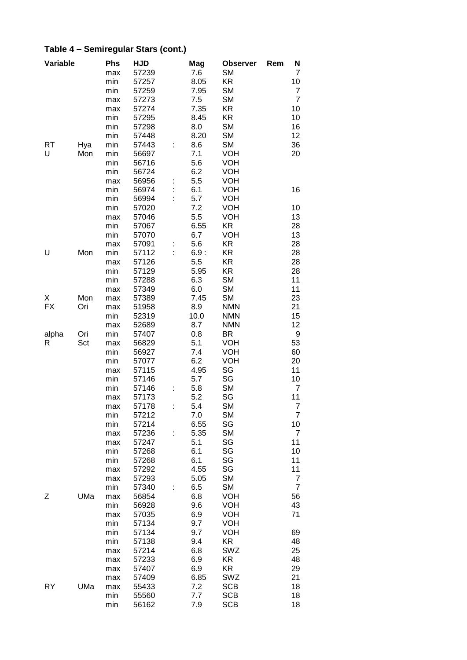| Variable |     | <b>Phs</b> | <b>HJD</b> |   | Mag  | <b>Observer</b> | Rem | N              |
|----------|-----|------------|------------|---|------|-----------------|-----|----------------|
|          |     | max        | 57239      |   | 7.6  | <b>SM</b>       |     | 7              |
|          |     | min        | 57257      |   | 8.05 | KR              |     | 10             |
|          |     | min        | 57259      |   | 7.95 | <b>SM</b>       |     | $\overline{7}$ |
|          |     | max        | 57273      |   | 7.5  | <b>SM</b>       |     | $\overline{7}$ |
|          |     | max        | 57274      |   | 7.35 | KR              |     | 10             |
|          |     | min        | 57295      |   | 8.45 | KR              |     | 10             |
|          |     | min        | 57298      |   | 8.0  | <b>SM</b>       |     | 16             |
|          |     | min        | 57448      |   | 8.20 | <b>SM</b>       |     | 12             |
| RT       | Hya | min        | 57443      |   | 8.6  | <b>SM</b>       |     | 36             |
| U        | Mon | min        | 56697      |   | 7.1  | <b>VOH</b>      |     | 20             |
|          |     | min        | 56716      |   | 5.6  | <b>VOH</b>      |     |                |
|          |     | min        | 56724      |   | 6.2  | <b>VOH</b>      |     |                |
|          |     | max        | 56956      |   | 5.5  | <b>VOH</b>      |     |                |
|          |     | min        | 56974      |   | 6.1  | <b>VOH</b>      |     | 16             |
|          |     | min        | 56994      |   | 5.7  | <b>VOH</b>      |     |                |
|          |     |            |            |   | 7.2  |                 |     | 10             |
|          |     | min        | 57020      |   |      | <b>VOH</b>      |     |                |
|          |     | max        | 57046      |   | 5.5  | <b>VOH</b>      |     | 13             |
|          |     | min        | 57067      |   | 6.55 | KR              |     | 28             |
|          |     | min        | 57070      |   | 6.7  | <b>VOH</b>      |     | 13             |
|          |     | max        | 57091      |   | 5.6  | KR              |     | 28             |
| U        | Mon | min        | 57112      |   | 6.9: | KR              |     | 28             |
|          |     | max        | 57126      |   | 5.5  | <b>KR</b>       |     | 28             |
|          |     | min        | 57129      |   | 5.95 | KR              |     | 28             |
|          |     | min        | 57288      |   | 6.3  | <b>SM</b>       |     | 11             |
|          |     | max        | 57349      |   | 6.0  | <b>SM</b>       |     | 11             |
| X        | Mon | max        | 57389      |   | 7.45 | <b>SM</b>       |     | 23             |
| FX       | Ori | max        | 51958      |   | 8.9  | <b>NMN</b>      |     | 21             |
|          |     | min        | 52319      |   | 10.0 | <b>NMN</b>      |     | 15             |
|          |     | max        | 52689      |   | 8.7  | <b>NMN</b>      |     | 12             |
| alpha    | Ori | min        | 57407      |   | 0.8  | BR              |     | 9              |
| R        | Sct | max        | 56829      |   | 5.1  | <b>VOH</b>      |     | 53             |
|          |     | min        | 56927      |   | 7.4  | <b>VOH</b>      |     | 60             |
|          |     | min        | 57077      |   | 6.2  | VOH             |     | 20             |
|          |     | max        | 57115      |   | 4.95 | SG              |     | 11             |
|          |     | min        | 57146      |   | 5.7  | SG              |     | 10             |
|          |     | min        | 57146      |   | 5.8  | <b>SM</b>       |     | $\overline{7}$ |
|          |     | max        | 57173      |   | 5.2  | SG              |     | 11             |
|          |     | max        | 57178      | ÷ | 5.4  | <b>SM</b>       |     | $\overline{7}$ |
|          |     | min        | 57212      |   | 7.0  | <b>SM</b>       |     | 7              |
|          |     | min        | 57214      |   | 6.55 | SG              |     | 10             |
|          |     | max        | 57236      | t | 5.35 | <b>SM</b>       |     | $\overline{7}$ |
|          |     | max        | 57247      |   | 5.1  | SG              |     | 11             |
|          |     | min        | 57268      |   | 6.1  | SG              |     | 10             |
|          |     | min        | 57268      |   | 6.1  | SG              |     | 11             |
|          |     | max        | 57292      |   | 4.55 | SG              |     | 11             |
|          |     | max        | 57293      |   | 5.05 | <b>SM</b>       |     | 7              |
|          |     | min        | 57340      |   | 6.5  | <b>SM</b>       |     | $\overline{7}$ |
|          | UMa |            |            |   | 6.8  |                 |     |                |
| Ζ        |     | max        | 56854      |   |      | <b>VOH</b>      |     | 56             |
|          |     | min        | 56928      |   | 9.6  | <b>VOH</b>      |     | 43             |
|          |     | max        | 57035      |   | 6.9  | <b>VOH</b>      |     | 71             |
|          |     | min        | 57134      |   | 9.7  | <b>VOH</b>      |     |                |
|          |     | min        | 57134      |   | 9.7  | <b>VOH</b>      |     | 69             |
|          |     | min        | 57138      |   | 9.4  | KR              |     | 48             |
|          |     | max        | 57214      |   | 6.8  | SWZ             |     | 25             |
|          |     | max        | 57233      |   | 6.9  | KR              |     | 48             |
|          |     | max        | 57407      |   | 6.9  | KR              |     | 29             |
|          |     | max        | 57409      |   | 6.85 | SWZ             |     | 21             |
| RY       | UMa | max        | 55433      |   | 7.2  | <b>SCB</b>      |     | 18             |
|          |     | min        | 55560      |   | 7.7  | <b>SCB</b>      |     | 18             |
|          |     | min        | 56162      |   | 7.9  | <b>SCB</b>      |     | 18             |

# **Table 4 – Semiregular Stars (cont.)**